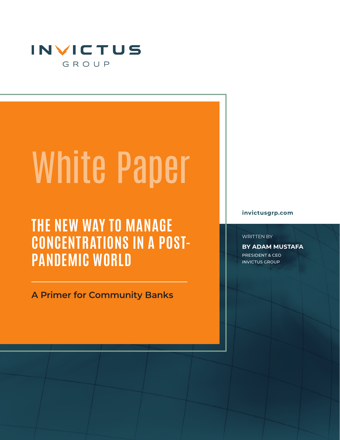

# White Paper

# **THE NEW WAY TO MANAGE CONCENTRATIONS IN A POST-PANDEMIC WORLD**

**A Primer for Community Banks** 

**invictusgrp.com**

WRITTEN BY

**BY ADAM MUSTAFA** PRESIDENT & CEO INVICTUS GROUP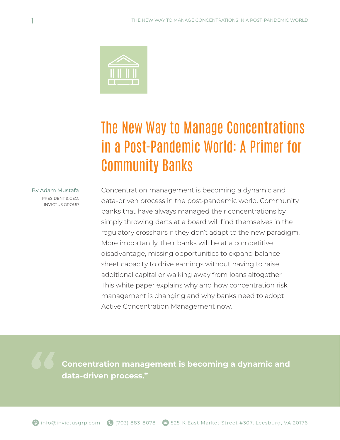

# The New Way to Manage Concentrations in a Post-Pandemic World: A Primer for Community Banks

#### By Adam Mustafa

PRESIDENT & CEO, INVICTUS GROUP

Concentration management is becoming a dynamic and data-driven process in the post-pandemic world. Community banks that have always managed their concentrations by simply throwing darts at a board will find themselves in the regulatory crosshairs if they don't adapt to the new paradigm. More importantly, their banks will be at a competitive disadvantage, missing opportunities to expand balance sheet capacity to drive earnings without having to raise additional capital or walking away from loans altogether. This white paper explains why and how concentration risk management is changing and why banks need to adopt Active Concentration Management now.

**Concentration management is becoming a dynamic and data-driven process."**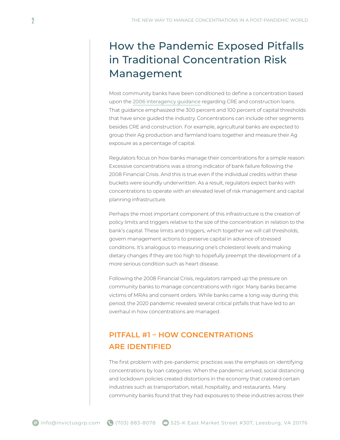## How the Pandemic Exposed Pitfalls in Traditional Concentration Risk Management

Most community banks have been conditioned to define a concentration based upon the 2006 interagency guidance regarding CRE and construction loans. That guidance emphasized the 300 percent and 100 percent of capital thresholds that have since guided the industry. Concentrations can include other segments besides CRE and construction. For example, agricultural banks are expected to group their Ag production and farmland loans together and measure their Ag exposure as a percentage of capital.

Regulators focus on how banks manage their concentrations for a simple reason: Excessive concentrations was a strong indicator of bank failure following the 2008 Financial Crisis. And this is true even if the individual credits within these buckets were soundly underwritten. As a result, regulators expect banks with concentrations to operate with an elevated level of risk management and capital planning infrastructure.

Perhaps the most important component of this infrastructure is the creation of policy limits and triggers relative to the size of the concentration in relation to the bank's capital. These limits and triggers, which together we will call thresholds, govern management actions to preserve capital in advance of stressed conditions. It's analogous to measuring one's cholesterol levels and making dietary changes if they are too high to hopefully preempt the development of a more serious condition such as heart disease.

Following the 2008 Financial Crisis, regulators ramped up the pressure on community banks to manage concentrations with rigor. Many banks became victims of MRAs and consent orders. While banks came a long way during this period, the 2020 pandemic revealed several critical pitfalls that have led to an overhaul in how concentrations are managed.

#### **PITFALL #1 – HOW CONCENTRATIONS ARE IDENTIFIED**

The first problem with pre-pandemic practices was the emphasis on identifying concentrations by loan categories. When the pandemic arrived, social distancing and lockdown policies created distortions in the economy that cratered certain industries such as transportation, retail, hospitality, and restaurants. Many community banks found that they had exposures to these industries across their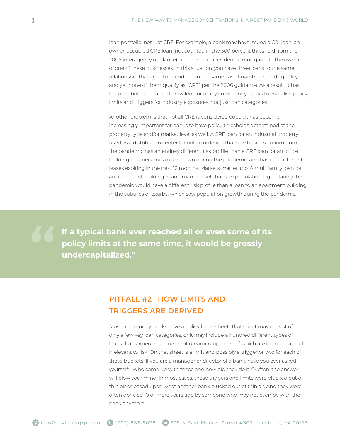loan portfolio, not just CRE. For example, a bank may have issued a C&I loan, an owner-occupied CRE loan (not counted in the 300 percent threshold from the 2006 interagency guidance), and perhaps a residential mortgage, to the owner of one of these businesses. In this situation, you have three loans to the same relationship that are all dependent on the same cash flow stream and liquidity, and yet none of them qualify as "CRE" per the 2006 guidance. As a result, it has become both critical and prevalent for many community banks to establish policy limits and triggers for industry exposures, not just loan categories.

Another problem is that not all CRE is considered equal. It has become increasingly important for banks to have policy thresholds determined at the property type and/or market level as well. A CRE loan for an industrial property used as a distribution center for online ordering that saw business boom from the pandemic has an entirely different risk profile than a CRE loan for an office building that became a ghost town during the pandemic and has critical tenant leases expiring in the next 12 months. Markets matter, too. A multifamily loan for an apartment building in an urban market that saw population flight during the pandemic would have a different risk profile than a loan to an apartment building in the suburbs or exurbs, which saw population growth during the pandemic.

**If a typical bank ever reached all or even some of its policy limits at the same time, it would be grossly undercapitalized."**

#### **PITFALL #2– HOW LIMITS AND TRIGGERS ARE DERIVED**

Most community banks have a policy limits sheet. That sheet may consist of only a few key loan categories, or it may include a hundred different types of loans that someone at one point dreamed up, most of which are immaterial and irrelevant to risk. On that sheet is a limit and possibly a trigger or two for each of these buckets. If you are a manager or director of a bank, have you ever asked yourself: "Who came up with these and how did they do it?" Often, the answer will blow your mind. In most cases, those triggers and limits were plucked out of thin air or based upon what another bank plucked out of thin air. And they were often done so 10 or more years ago by someone who may not even be with the bank anymore!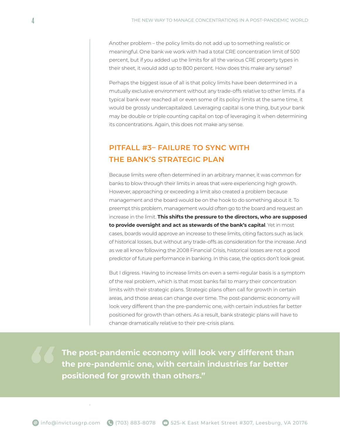Another problem – the policy limits do not add up to something realistic or meaningful. One bank we work with had a total CRE concentration limit of 500 percent, but if you added up the limits for all the various CRE property types in their sheet, it would add up to 800 percent. How does this make any sense?

Perhaps the biggest issue of all is that policy limits have been determined in a mutually exclusive environment without any trade-offs relative to other limits. If a typical bank ever reached all or even some of its policy limits at the same time, it would be grossly undercapitalized. Leveraging capital is one thing, but your bank may be double or triple counting capital on top of leveraging it when determining its concentrations. Again, this does not make any sense.

#### **PITFALL #3– FAILURE TO SYNC WITH THE BANK'S STRATEGIC PLAN**

Because limits were often determined in an arbitrary manner, it was common for banks to blow through their limits in areas that were experiencing high growth. However, approaching or exceeding a limit also created a problem because management and the board would be on the hook to do something about it. To preempt this problem, management would often go to the board and request an increase in the limit. **This shifts the pressure to the directors, who are supposed to provide oversight and act as stewards of the bank's capital**. Yet in most cases, boards would approve an increase to these limits, citing factors such as lack of historical losses, but without any trade-offs as consideration for the increase. And as we all know following the 2008 Financial Crisis, historical losses are not a good predictor of future performance in banking. In this case, the optics don't look great.

But I digress. Having to increase limits on even a semi-regular basis is a symptom of the real problem, which is that most banks fail to marry their concentration limits with their strategic plans. Strategic plans often call for growth in certain areas, and those areas can change over time. The post-pandemic economy will look very different than the pre-pandemic one, with certain industries far better positioned for growth than others. As a result, bank strategic plans will have to change dramatically relative to their pre-crisis plans.

**The post-pandemic economy will look very different than the pre-pandemic one, with certain industries far better positioned for growth than others."**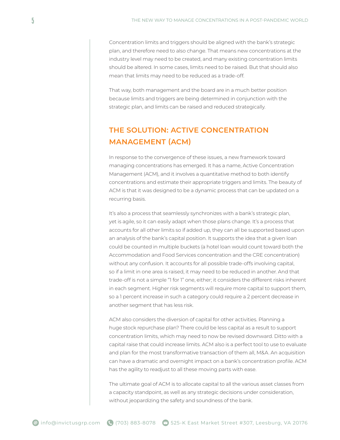Concentration limits and triggers should be aligned with the bank's strategic plan, and therefore need to also change. That means new concentrations at the industry level may need to be created, and many existing concentration limits should be altered. In some cases, limits need to be raised. But that should also mean that limits may need to be reduced as a trade-off.

That way, both management and the board are in a much better position because limits and triggers are being determined in conjunction with the strategic plan, and limits can be raised and reduced strategically.

#### **THE SOLUTION: ACTIVE CONCENTRATION MANAGEMENT (ACM)**

In response to the convergence of these issues, a new framework toward managing concentrations has emerged. It has a name, Active Concentration Management (ACM), and it involves a quantitative method to both identify concentrations and estimate their appropriate triggers and limits. The beauty of ACM is that it was designed to be a dynamic process that can be updated on a recurring basis.

It's also a process that seamlessly synchronizes with a bank's strategic plan, yet is agile, so it can easily adapt when those plans change. It's a process that accounts for all other limits so if added up, they can all be supported based upon an analysis of the bank's capital position. It supports the idea that a given loan could be counted in multiple buckets (a hotel loan would count toward both the Accommodation and Food Services concentration and the CRE concentration) without any confusion. It accounts for all possible trade-offs involving capital, so if a limit in one area is raised, it may need to be reduced in another. And that trade-off is not a simple "1 for 1" one, either; it considers the different risks inherent in each segment. Higher risk segments will require more capital to support them, so a 1 percent increase in such a category could require a 2 percent decrease in another segment that has less risk.

ACM also considers the diversion of capital for other activities. Planning a huge stock repurchase plan? There could be less capital as a result to support concentration limits, which may need to now be revised downward. Ditto with a capital raise that could increase limits. ACM also is a perfect tool to use to evaluate and plan for the most transformative transaction of them all, M&A. An acquisition can have a dramatic and overnight impact on a bank's concentration profile. ACM has the agility to readjust to all these moving parts with ease.

The ultimate goal of ACM is to allocate capital to all the various asset classes from a capacity standpoint, as well as any strategic decisions under consideration, without jeopardizing the safety and soundness of the bank.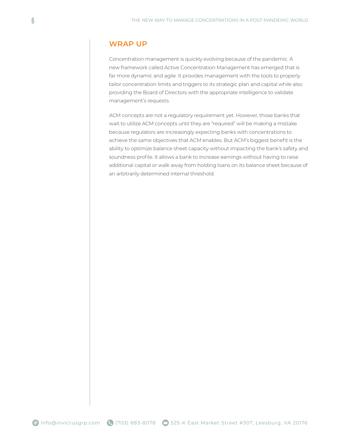#### **WRAP UP**

Concentration management is quickly evolving because of the pandemic. A new framework called Active Concentration Management has emerged that is far more dynamic and agile. It provides management with the tools to properly tailor concentration limits and triggers to its strategic plan and capital while also providing the Board of Directors with the appropriate intelligence to validate management's requests.

ACM concepts are not a regulatory requirement yet. However, those banks that wait to utilize ACM concepts until they are "required" will be making a mistake because regulators are increasingly expecting banks with concentrations to achieve the same objectives that ACM enables. But ACM's biggest benefit is the ability to optimize balance sheet capacity without impacting the bank's safety and soundness profile. It allows a bank to increase earnings without having to raise additional capital or walk away from holding loans on its balance sheet because of an arbitrarily determined internal threshold.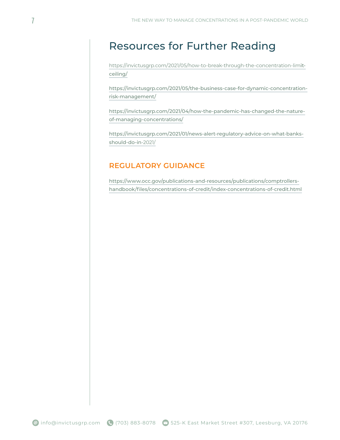### Resources for Further Reading

https://invictusgrp.com/2021/05/how-to-break-through-the-concentration-limitceiling/

https://invictusgrp.com/2021/05/the-business-case-for-dynamic-concentrationrisk-management/

https://invictusgrp.com/2021/04/how-the-pandemic-has-changed-the-natureof-managing-concentrations/

https://invictusgrp.com/2021/01/news-alert-regulatory-advice-on-what-banksshould-do-in-2021/

#### **REGULATORY GUIDANCE**

https://www.occ.gov/publications-and-resources/publications/comptrollershandbook/files/concentrations-of-credit/index-concentrations-of-credit.html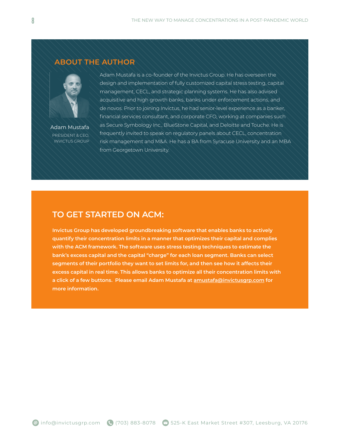#### **ABOUT THE AUTHOR**



Adam Mustafa PRESIDENT & CEO, INVICTUS GROUP

Adam Mustafa is a co-founder of the Invictus Group. He has overseen the design and implementation of fully customized capital stress testing, capital management, CECL, and strategic planning systems. He has also advised acquisitive and high growth banks, banks under enforcement actions, and de novos. Prior to joining Invictus, he had senior-level experience as a banker, financial services consultant, and corporate CFO, working at companies such as Secure Symbology Inc., BlueStone Capital, and Deloitte and Touche. He is frequently invited to speak on regulatory panels about CECL, concentration risk management and M&A. He has a BA from Syracuse University and an MBA from Georgetown University.

#### **TO GET STARTED ON ACM:**

**Invictus Group has developed groundbreaking software that enables banks to actively quantify their concentration limits in a manner that optimizes their capital and complies with the ACM framework. The software uses stress testing techniques to estimate the bank's excess capital and the capital "charge" for each loan segment. Banks can select segments of their portfolio they want to set limits for, and then see how it affects their excess capital in real time. This allows banks to optimize all their concentration limits with a click of a few buttons. Please email Adam Mustafa at amustafa@invictusgrp.com for more information.**